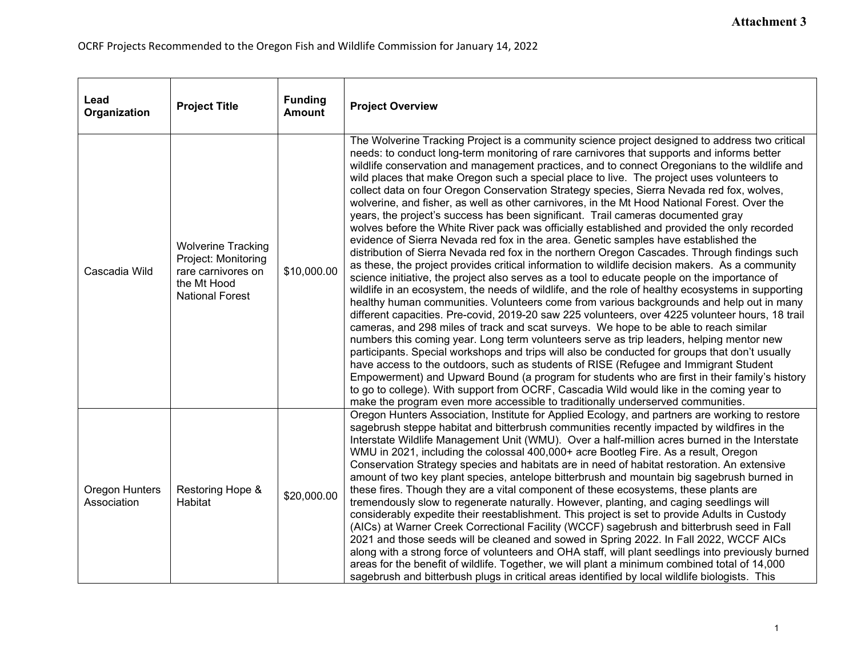| Lead<br>Organization          | <b>Project Title</b>                                                                                            | <b>Funding</b><br><b>Amount</b> | <b>Project Overview</b>                                                                                                                                                                                                                                                                                                                                                                                                                                                                                                                                                                                                                                                                                                                                                                                                                                                                                                                                                                                                                                                                                                                                                                                                                                                                                                                                                                                                                                                                                                                                                                                                                                                                                                                                                                                                                                                                                                                                                                                                                                                                                                                    |
|-------------------------------|-----------------------------------------------------------------------------------------------------------------|---------------------------------|--------------------------------------------------------------------------------------------------------------------------------------------------------------------------------------------------------------------------------------------------------------------------------------------------------------------------------------------------------------------------------------------------------------------------------------------------------------------------------------------------------------------------------------------------------------------------------------------------------------------------------------------------------------------------------------------------------------------------------------------------------------------------------------------------------------------------------------------------------------------------------------------------------------------------------------------------------------------------------------------------------------------------------------------------------------------------------------------------------------------------------------------------------------------------------------------------------------------------------------------------------------------------------------------------------------------------------------------------------------------------------------------------------------------------------------------------------------------------------------------------------------------------------------------------------------------------------------------------------------------------------------------------------------------------------------------------------------------------------------------------------------------------------------------------------------------------------------------------------------------------------------------------------------------------------------------------------------------------------------------------------------------------------------------------------------------------------------------------------------------------------------------|
| Cascadia Wild                 | <b>Wolverine Tracking</b><br>Project: Monitoring<br>rare carnivores on<br>the Mt Hood<br><b>National Forest</b> | \$10,000.00                     | The Wolverine Tracking Project is a community science project designed to address two critical<br>needs: to conduct long-term monitoring of rare carnivores that supports and informs better<br>wildlife conservation and management practices, and to connect Oregonians to the wildlife and<br>wild places that make Oregon such a special place to live. The project uses volunteers to<br>collect data on four Oregon Conservation Strategy species, Sierra Nevada red fox, wolves,<br>wolverine, and fisher, as well as other carnivores, in the Mt Hood National Forest. Over the<br>years, the project's success has been significant. Trail cameras documented gray<br>wolves before the White River pack was officially established and provided the only recorded<br>evidence of Sierra Nevada red fox in the area. Genetic samples have established the<br>distribution of Sierra Nevada red fox in the northern Oregon Cascades. Through findings such<br>as these, the project provides critical information to wildlife decision makers. As a community<br>science initiative, the project also serves as a tool to educate people on the importance of<br>wildlife in an ecosystem, the needs of wildlife, and the role of healthy ecosystems in supporting<br>healthy human communities. Volunteers come from various backgrounds and help out in many<br>different capacities. Pre-covid, 2019-20 saw 225 volunteers, over 4225 volunteer hours, 18 trail<br>cameras, and 298 miles of track and scat surveys. We hope to be able to reach similar<br>numbers this coming year. Long term volunteers serve as trip leaders, helping mentor new<br>participants. Special workshops and trips will also be conducted for groups that don't usually<br>have access to the outdoors, such as students of RISE (Refugee and Immigrant Student<br>Empowerment) and Upward Bound (a program for students who are first in their family's history<br>to go to college). With support from OCRF, Cascadia Wild would like in the coming year to<br>make the program even more accessible to traditionally underserved communities. |
| Oregon Hunters<br>Association | Restoring Hope &<br>Habitat                                                                                     | \$20,000.00                     | Oregon Hunters Association, Institute for Applied Ecology, and partners are working to restore<br>sagebrush steppe habitat and bitterbrush communities recently impacted by wildfires in the<br>Interstate Wildlife Management Unit (WMU). Over a half-million acres burned in the Interstate<br>WMU in 2021, including the colossal 400,000+ acre Bootleg Fire. As a result, Oregon<br>Conservation Strategy species and habitats are in need of habitat restoration. An extensive<br>amount of two key plant species, antelope bitterbrush and mountain big sagebrush burned in<br>these fires. Though they are a vital component of these ecosystems, these plants are<br>tremendously slow to regenerate naturally. However, planting, and caging seedlings will<br>considerably expedite their reestablishment. This project is set to provide Adults in Custody<br>(AICs) at Warner Creek Correctional Facility (WCCF) sagebrush and bitterbrush seed in Fall<br>2021 and those seeds will be cleaned and sowed in Spring 2022. In Fall 2022, WCCF AICs<br>along with a strong force of volunteers and OHA staff, will plant seedlings into previously burned<br>areas for the benefit of wildlife. Together, we will plant a minimum combined total of 14,000<br>sagebrush and bitterbush plugs in critical areas identified by local wildlife biologists. This                                                                                                                                                                                                                                                                                                                                                                                                                                                                                                                                                                                                                                                                                                                                                                     |

,我们也不会有什么。""我们的,你们也不会不会不会不会不会不会不会不会。""我们的,我们也不会不会不会不会不会不会不会。""我们的,我们也不会不会不会不会不会不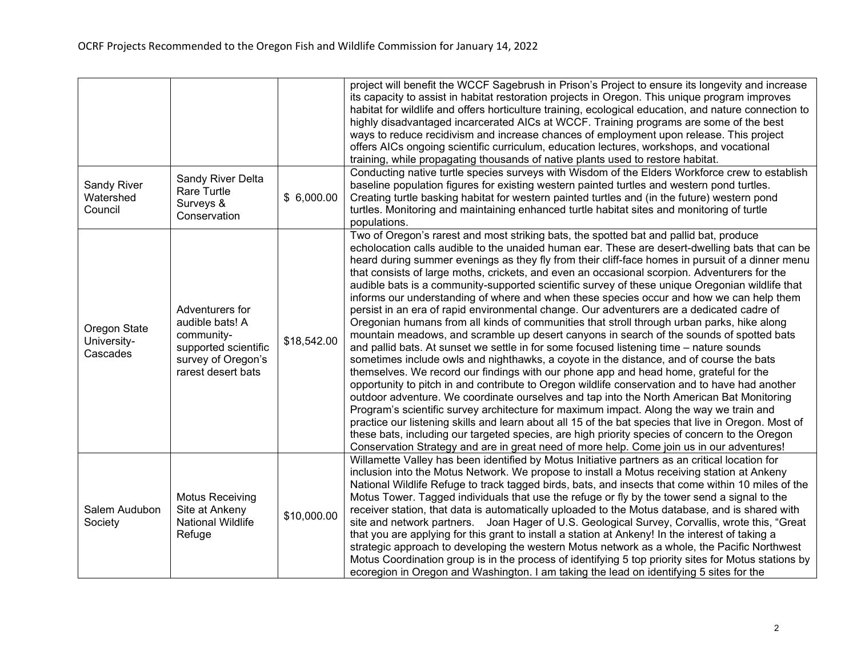|                                         |                                                                                                                      |             | project will benefit the WCCF Sagebrush in Prison's Project to ensure its longevity and increase<br>its capacity to assist in habitat restoration projects in Oregon. This unique program improves<br>habitat for wildlife and offers horticulture training, ecological education, and nature connection to<br>highly disadvantaged incarcerated AICs at WCCF. Training programs are some of the best<br>ways to reduce recidivism and increase chances of employment upon release. This project<br>offers AICs ongoing scientific curriculum, education lectures, workshops, and vocational<br>training, while propagating thousands of native plants used to restore habitat.<br>Conducting native turtle species surveys with Wisdom of the Elders Workforce crew to establish                                                                                                                                                                                                                                                                                                                                                                                                                                                                                                                                                                                                                                                                                                                                                                                                                                                                                                                                                                                   |
|-----------------------------------------|----------------------------------------------------------------------------------------------------------------------|-------------|---------------------------------------------------------------------------------------------------------------------------------------------------------------------------------------------------------------------------------------------------------------------------------------------------------------------------------------------------------------------------------------------------------------------------------------------------------------------------------------------------------------------------------------------------------------------------------------------------------------------------------------------------------------------------------------------------------------------------------------------------------------------------------------------------------------------------------------------------------------------------------------------------------------------------------------------------------------------------------------------------------------------------------------------------------------------------------------------------------------------------------------------------------------------------------------------------------------------------------------------------------------------------------------------------------------------------------------------------------------------------------------------------------------------------------------------------------------------------------------------------------------------------------------------------------------------------------------------------------------------------------------------------------------------------------------------------------------------------------------------------------------------|
| Sandy River<br>Watershed<br>Council     | Sandy River Delta<br>Rare Turtle<br>Surveys &<br>Conservation                                                        | \$6,000.00  | baseline population figures for existing western painted turtles and western pond turtles.<br>Creating turtle basking habitat for western painted turtles and (in the future) western pond<br>turtles. Monitoring and maintaining enhanced turtle habitat sites and monitoring of turtle<br>populations.                                                                                                                                                                                                                                                                                                                                                                                                                                                                                                                                                                                                                                                                                                                                                                                                                                                                                                                                                                                                                                                                                                                                                                                                                                                                                                                                                                                                                                                            |
| Oregon State<br>University-<br>Cascades | Adventurers for<br>audible bats! A<br>community-<br>supported scientific<br>survey of Oregon's<br>rarest desert bats | \$18,542.00 | Two of Oregon's rarest and most striking bats, the spotted bat and pallid bat, produce<br>echolocation calls audible to the unaided human ear. These are desert-dwelling bats that can be<br>heard during summer evenings as they fly from their cliff-face homes in pursuit of a dinner menu<br>that consists of large moths, crickets, and even an occasional scorpion. Adventurers for the<br>audible bats is a community-supported scientific survey of these unique Oregonian wildlife that<br>informs our understanding of where and when these species occur and how we can help them<br>persist in an era of rapid environmental change. Our adventurers are a dedicated cadre of<br>Oregonian humans from all kinds of communities that stroll through urban parks, hike along<br>mountain meadows, and scramble up desert canyons in search of the sounds of spotted bats<br>and pallid bats. At sunset we settle in for some focused listening time - nature sounds<br>sometimes include owls and nighthawks, a coyote in the distance, and of course the bats<br>themselves. We record our findings with our phone app and head home, grateful for the<br>opportunity to pitch in and contribute to Oregon wildlife conservation and to have had another<br>outdoor adventure. We coordinate ourselves and tap into the North American Bat Monitoring<br>Program's scientific survey architecture for maximum impact. Along the way we train and<br>practice our listening skills and learn about all 15 of the bat species that live in Oregon. Most of<br>these bats, including our targeted species, are high priority species of concern to the Oregon<br>Conservation Strategy and are in great need of more help. Come join us in our adventures! |
| Salem Audubon<br>Society                | <b>Motus Receiving</b><br>Site at Ankeny<br><b>National Wildlife</b><br>Refuge                                       | \$10,000.00 | Willamette Valley has been identified by Motus Initiative partners as an critical location for<br>inclusion into the Motus Network. We propose to install a Motus receiving station at Ankeny<br>National Wildlife Refuge to track tagged birds, bats, and insects that come within 10 miles of the<br>Motus Tower. Tagged individuals that use the refuge or fly by the tower send a signal to the<br>receiver station, that data is automatically uploaded to the Motus database, and is shared with<br>site and network partners. Joan Hager of U.S. Geological Survey, Corvallis, wrote this, "Great<br>that you are applying for this grant to install a station at Ankeny! In the interest of taking a<br>strategic approach to developing the western Motus network as a whole, the Pacific Northwest<br>Motus Coordination group is in the process of identifying 5 top priority sites for Motus stations by<br>ecoregion in Oregon and Washington. I am taking the lead on identifying 5 sites for the                                                                                                                                                                                                                                                                                                                                                                                                                                                                                                                                                                                                                                                                                                                                                     |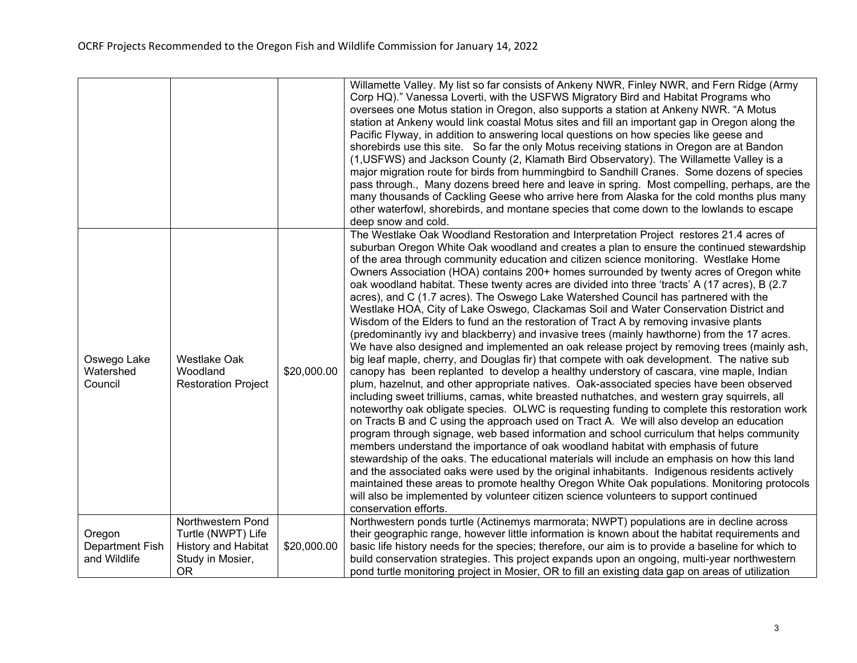|                                           |                                                                                           |             | Willamette Valley. My list so far consists of Ankeny NWR, Finley NWR, and Fern Ridge (Army<br>Corp HQ)." Vanessa Loverti, with the USFWS Migratory Bird and Habitat Programs who<br>oversees one Motus station in Oregon, also supports a station at Ankeny NWR. "A Motus<br>station at Ankeny would link coastal Motus sites and fill an important gap in Oregon along the<br>Pacific Flyway, in addition to answering local questions on how species like geese and<br>shorebirds use this site. So far the only Motus receiving stations in Oregon are at Bandon<br>(1, USFWS) and Jackson County (2, Klamath Bird Observatory). The Willamette Valley is a<br>major migration route for birds from hummingbird to Sandhill Cranes. Some dozens of species<br>pass through., Many dozens breed here and leave in spring. Most compelling, perhaps, are the<br>many thousands of Cackling Geese who arrive here from Alaska for the cold months plus many<br>other waterfowl, shorebirds, and montane species that come down to the lowlands to escape<br>deep snow and cold.                                                                                                                                                                                                                                                                                                                                                                                                                                                                                                                                                                                                                                                                                                                                                                                                                                                                                                                                                                                                                                                         |
|-------------------------------------------|-------------------------------------------------------------------------------------------|-------------|-----------------------------------------------------------------------------------------------------------------------------------------------------------------------------------------------------------------------------------------------------------------------------------------------------------------------------------------------------------------------------------------------------------------------------------------------------------------------------------------------------------------------------------------------------------------------------------------------------------------------------------------------------------------------------------------------------------------------------------------------------------------------------------------------------------------------------------------------------------------------------------------------------------------------------------------------------------------------------------------------------------------------------------------------------------------------------------------------------------------------------------------------------------------------------------------------------------------------------------------------------------------------------------------------------------------------------------------------------------------------------------------------------------------------------------------------------------------------------------------------------------------------------------------------------------------------------------------------------------------------------------------------------------------------------------------------------------------------------------------------------------------------------------------------------------------------------------------------------------------------------------------------------------------------------------------------------------------------------------------------------------------------------------------------------------------------------------------------------------------------------------------|
| Oswego Lake<br>Watershed<br>Council       | <b>Westlake Oak</b><br>Woodland<br><b>Restoration Project</b>                             | \$20,000.00 | The Westlake Oak Woodland Restoration and Interpretation Project restores 21.4 acres of<br>suburban Oregon White Oak woodland and creates a plan to ensure the continued stewardship<br>of the area through community education and citizen science monitoring. Westlake Home<br>Owners Association (HOA) contains 200+ homes surrounded by twenty acres of Oregon white<br>oak woodland habitat. These twenty acres are divided into three 'tracts' A (17 acres), B (2.7<br>acres), and C (1.7 acres). The Oswego Lake Watershed Council has partnered with the<br>Westlake HOA, City of Lake Oswego, Clackamas Soil and Water Conservation District and<br>Wisdom of the Elders to fund an the restoration of Tract A by removing invasive plants<br>(predominantly ivy and blackberry) and invasive trees (mainly hawthorne) from the 17 acres.<br>We have also designed and implemented an oak release project by removing trees (mainly ash,<br>big leaf maple, cherry, and Douglas fir) that compete with oak development. The native sub<br>canopy has been replanted to develop a healthy understory of cascara, vine maple, Indian<br>plum, hazelnut, and other appropriate natives. Oak-associated species have been observed<br>including sweet trilliums, camas, white breasted nuthatches, and western gray squirrels, all<br>noteworthy oak obligate species. OLWC is requesting funding to complete this restoration work<br>on Tracts B and C using the approach used on Tract A. We will also develop an education<br>program through signage, web based information and school curriculum that helps community<br>members understand the importance of oak woodland habitat with emphasis of future<br>stewardship of the oaks. The educational materials will include an emphasis on how this land<br>and the associated oaks were used by the original inhabitants. Indigenous residents actively<br>maintained these areas to promote healthy Oregon White Oak populations. Monitoring protocols<br>will also be implemented by volunteer citizen science volunteers to support continued<br>conservation efforts. |
| Oregon<br>Department Fish<br>and Wildlife | Northwestern Pond<br>Turtle (NWPT) Life<br><b>History and Habitat</b><br>Study in Mosier, | \$20,000.00 | Northwestern ponds turtle (Actinemys marmorata; NWPT) populations are in decline across<br>their geographic range, however little information is known about the habitat requirements and<br>basic life history needs for the species; therefore, our aim is to provide a baseline for which to<br>build conservation strategies. This project expands upon an ongoing, multi-year northwestern                                                                                                                                                                                                                                                                                                                                                                                                                                                                                                                                                                                                                                                                                                                                                                                                                                                                                                                                                                                                                                                                                                                                                                                                                                                                                                                                                                                                                                                                                                                                                                                                                                                                                                                                         |
|                                           | <b>OR</b>                                                                                 |             | pond turtle monitoring project in Mosier, OR to fill an existing data gap on areas of utilization                                                                                                                                                                                                                                                                                                                                                                                                                                                                                                                                                                                                                                                                                                                                                                                                                                                                                                                                                                                                                                                                                                                                                                                                                                                                                                                                                                                                                                                                                                                                                                                                                                                                                                                                                                                                                                                                                                                                                                                                                                       |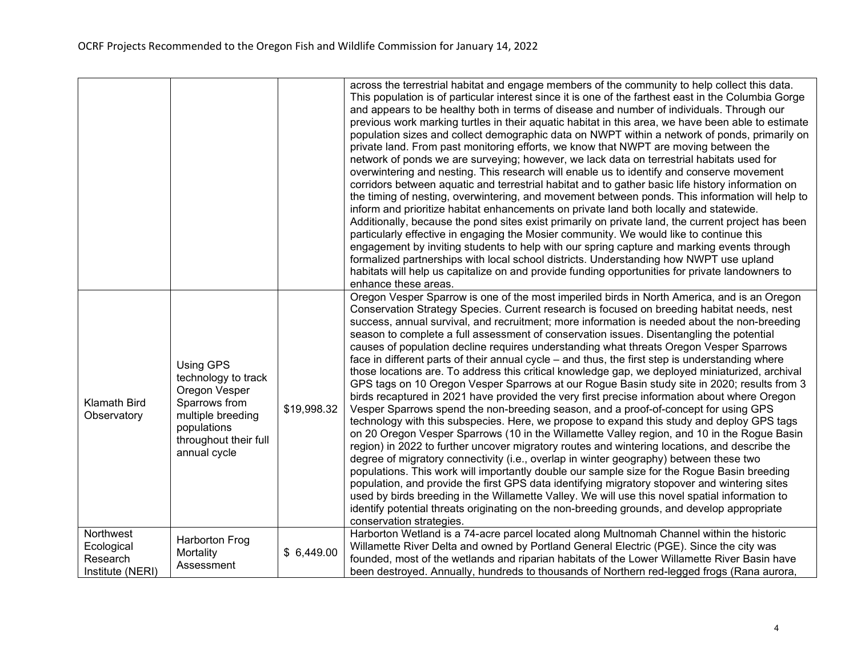|                                                         |                                                                                                                                                 |             | across the terrestrial habitat and engage members of the community to help collect this data.<br>This population is of particular interest since it is one of the farthest east in the Columbia Gorge<br>and appears to be healthy both in terms of disease and number of individuals. Through our<br>previous work marking turtles in their aquatic habitat in this area, we have been able to estimate<br>population sizes and collect demographic data on NWPT within a network of ponds, primarily on<br>private land. From past monitoring efforts, we know that NWPT are moving between the<br>network of ponds we are surveying; however, we lack data on terrestrial habitats used for<br>overwintering and nesting. This research will enable us to identify and conserve movement<br>corridors between aquatic and terrestrial habitat and to gather basic life history information on<br>the timing of nesting, overwintering, and movement between ponds. This information will help to<br>inform and prioritize habitat enhancements on private land both locally and statewide.<br>Additionally, because the pond sites exist primarily on private land, the current project has been<br>particularly effective in engaging the Mosier community. We would like to continue this<br>engagement by inviting students to help with our spring capture and marking events through<br>formalized partnerships with local school districts. Understanding how NWPT use upland<br>habitats will help us capitalize on and provide funding opportunities for private landowners to<br>enhance these areas.                                                                                                                                                                                 |
|---------------------------------------------------------|-------------------------------------------------------------------------------------------------------------------------------------------------|-------------|---------------------------------------------------------------------------------------------------------------------------------------------------------------------------------------------------------------------------------------------------------------------------------------------------------------------------------------------------------------------------------------------------------------------------------------------------------------------------------------------------------------------------------------------------------------------------------------------------------------------------------------------------------------------------------------------------------------------------------------------------------------------------------------------------------------------------------------------------------------------------------------------------------------------------------------------------------------------------------------------------------------------------------------------------------------------------------------------------------------------------------------------------------------------------------------------------------------------------------------------------------------------------------------------------------------------------------------------------------------------------------------------------------------------------------------------------------------------------------------------------------------------------------------------------------------------------------------------------------------------------------------------------------------------------------------------------------------------------------------------------------------------------------------------------|
| <b>Klamath Bird</b><br>Observatory                      | Using GPS<br>technology to track<br>Oregon Vesper<br>Sparrows from<br>multiple breeding<br>populations<br>throughout their full<br>annual cycle | \$19,998.32 | Oregon Vesper Sparrow is one of the most imperiled birds in North America, and is an Oregon<br>Conservation Strategy Species. Current research is focused on breeding habitat needs, nest<br>success, annual survival, and recruitment; more information is needed about the non-breeding<br>season to complete a full assessment of conservation issues. Disentangling the potential<br>causes of population decline requires understanding what threats Oregon Vesper Sparrows<br>face in different parts of their annual cycle – and thus, the first step is understanding where<br>those locations are. To address this critical knowledge gap, we deployed miniaturized, archival<br>GPS tags on 10 Oregon Vesper Sparrows at our Rogue Basin study site in 2020; results from 3<br>birds recaptured in 2021 have provided the very first precise information about where Oregon<br>Vesper Sparrows spend the non-breeding season, and a proof-of-concept for using GPS<br>technology with this subspecies. Here, we propose to expand this study and deploy GPS tags<br>on 20 Oregon Vesper Sparrows (10 in the Willamette Valley region, and 10 in the Rogue Basin<br>region) in 2022 to further uncover migratory routes and wintering locations, and describe the<br>degree of migratory connectivity (i.e., overlap in winter geography) between these two<br>populations. This work will importantly double our sample size for the Rogue Basin breeding<br>population, and provide the first GPS data identifying migratory stopover and wintering sites<br>used by birds breeding in the Willamette Valley. We will use this novel spatial information to<br>identify potential threats originating on the non-breeding grounds, and develop appropriate<br>conservation strategies. |
| Northwest<br>Ecological<br>Research<br>Institute (NERI) | Harborton Frog<br>Mortality<br>Assessment                                                                                                       | \$6,449.00  | Harborton Wetland is a 74-acre parcel located along Multnomah Channel within the historic<br>Willamette River Delta and owned by Portland General Electric (PGE). Since the city was<br>founded, most of the wetlands and riparian habitats of the Lower Willamette River Basin have<br>been destroyed. Annually, hundreds to thousands of Northern red-legged frogs (Rana aurora,                                                                                                                                                                                                                                                                                                                                                                                                                                                                                                                                                                                                                                                                                                                                                                                                                                                                                                                                                                                                                                                                                                                                                                                                                                                                                                                                                                                                                |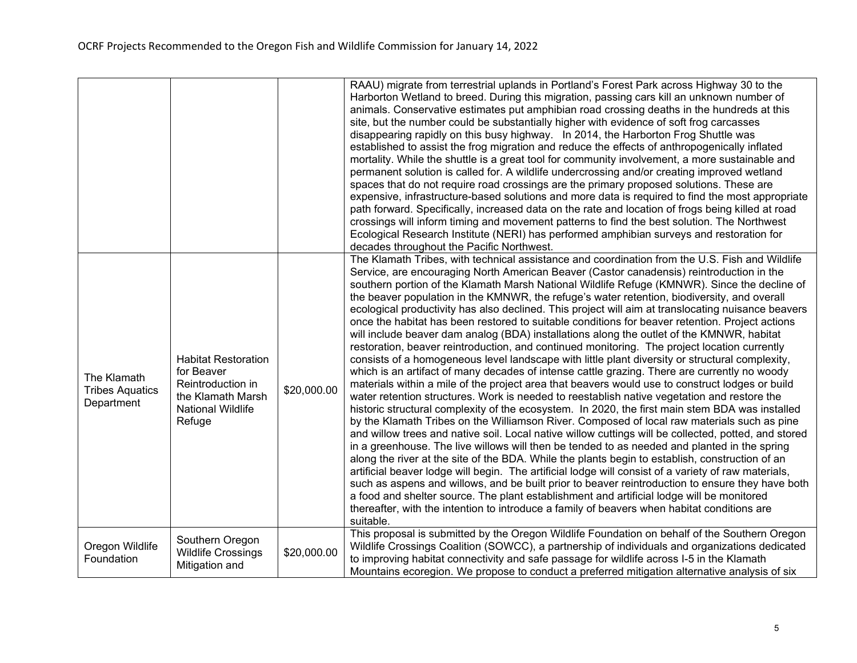|                                                     |                                                                                                                   |             | RAAU) migrate from terrestrial uplands in Portland's Forest Park across Highway 30 to the<br>Harborton Wetland to breed. During this migration, passing cars kill an unknown number of<br>animals. Conservative estimates put amphibian road crossing deaths in the hundreds at this<br>site, but the number could be substantially higher with evidence of soft frog carcasses<br>disappearing rapidly on this busy highway. In 2014, the Harborton Frog Shuttle was<br>established to assist the frog migration and reduce the effects of anthropogenically inflated<br>mortality. While the shuttle is a great tool for community involvement, a more sustainable and<br>permanent solution is called for. A wildlife undercrossing and/or creating improved wetland<br>spaces that do not require road crossings are the primary proposed solutions. These are<br>expensive, infrastructure-based solutions and more data is required to find the most appropriate<br>path forward. Specifically, increased data on the rate and location of frogs being killed at road<br>crossings will inform timing and movement patterns to find the best solution. The Northwest<br>Ecological Research Institute (NERI) has performed amphibian surveys and restoration for<br>decades throughout the Pacific Northwest.                                                                                                                                                                                                                                                                                                                                                                                                                                                                                                                                                                                                                                                                                                                                                                                                                    |
|-----------------------------------------------------|-------------------------------------------------------------------------------------------------------------------|-------------|----------------------------------------------------------------------------------------------------------------------------------------------------------------------------------------------------------------------------------------------------------------------------------------------------------------------------------------------------------------------------------------------------------------------------------------------------------------------------------------------------------------------------------------------------------------------------------------------------------------------------------------------------------------------------------------------------------------------------------------------------------------------------------------------------------------------------------------------------------------------------------------------------------------------------------------------------------------------------------------------------------------------------------------------------------------------------------------------------------------------------------------------------------------------------------------------------------------------------------------------------------------------------------------------------------------------------------------------------------------------------------------------------------------------------------------------------------------------------------------------------------------------------------------------------------------------------------------------------------------------------------------------------------------------------------------------------------------------------------------------------------------------------------------------------------------------------------------------------------------------------------------------------------------------------------------------------------------------------------------------------------------------------------------------------------------------------------------------------------------------------------------|
| The Klamath<br><b>Tribes Aquatics</b><br>Department | <b>Habitat Restoration</b><br>for Beaver<br>Reintroduction in<br>the Klamath Marsh<br>National Wildlife<br>Refuge | \$20,000.00 | The Klamath Tribes, with technical assistance and coordination from the U.S. Fish and Wildlife<br>Service, are encouraging North American Beaver (Castor canadensis) reintroduction in the<br>southern portion of the Klamath Marsh National Wildlife Refuge (KMNWR). Since the decline of<br>the beaver population in the KMNWR, the refuge's water retention, biodiversity, and overall<br>ecological productivity has also declined. This project will aim at translocating nuisance beavers<br>once the habitat has been restored to suitable conditions for beaver retention. Project actions<br>will include beaver dam analog (BDA) installations along the outlet of the KMNWR, habitat<br>restoration, beaver reintroduction, and continued monitoring. The project location currently<br>consists of a homogeneous level landscape with little plant diversity or structural complexity,<br>which is an artifact of many decades of intense cattle grazing. There are currently no woody<br>materials within a mile of the project area that beavers would use to construct lodges or build<br>water retention structures. Work is needed to reestablish native vegetation and restore the<br>historic structural complexity of the ecosystem. In 2020, the first main stem BDA was installed<br>by the Klamath Tribes on the Williamson River. Composed of local raw materials such as pine<br>and willow trees and native soil. Local native willow cuttings will be collected, potted, and stored<br>in a greenhouse. The live willows will then be tended to as needed and planted in the spring<br>along the river at the site of the BDA. While the plants begin to establish, construction of an<br>artificial beaver lodge will begin. The artificial lodge will consist of a variety of raw materials,<br>such as aspens and willows, and be built prior to beaver reintroduction to ensure they have both<br>a food and shelter source. The plant establishment and artificial lodge will be monitored<br>thereafter, with the intention to introduce a family of beavers when habitat conditions are<br>suitable. |
| Oregon Wildlife<br>Foundation                       | Southern Oregon<br><b>Wildlife Crossings</b><br>Mitigation and                                                    | \$20,000.00 | This proposal is submitted by the Oregon Wildlife Foundation on behalf of the Southern Oregon<br>Wildlife Crossings Coalition (SOWCC), a partnership of individuals and organizations dedicated<br>to improving habitat connectivity and safe passage for wildlife across I-5 in the Klamath<br>Mountains ecoregion. We propose to conduct a preferred mitigation alternative analysis of six                                                                                                                                                                                                                                                                                                                                                                                                                                                                                                                                                                                                                                                                                                                                                                                                                                                                                                                                                                                                                                                                                                                                                                                                                                                                                                                                                                                                                                                                                                                                                                                                                                                                                                                                          |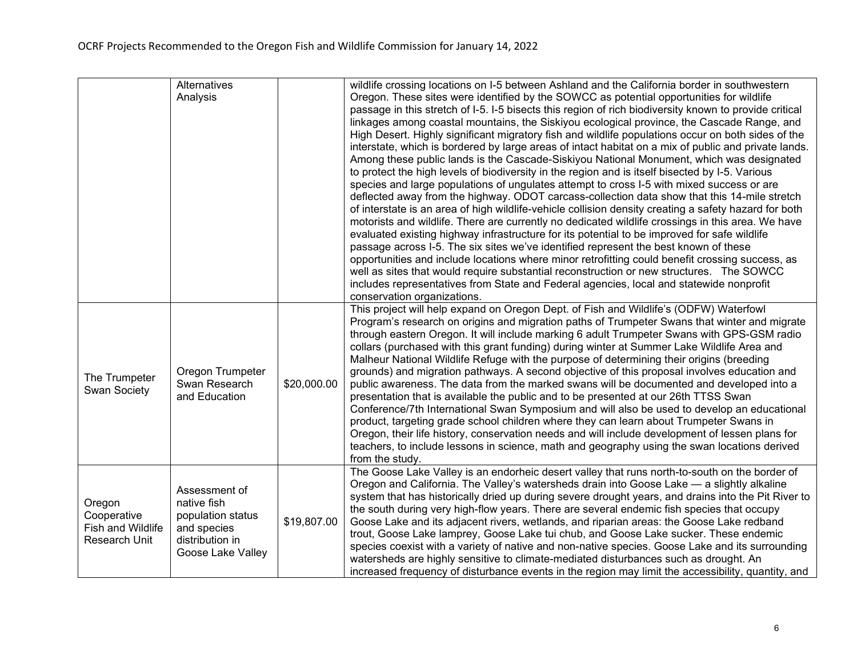|                                            | Alternatives                                                             |             | wildlife crossing locations on I-5 between Ashland and the California border in southwestern           |
|--------------------------------------------|--------------------------------------------------------------------------|-------------|--------------------------------------------------------------------------------------------------------|
|                                            | Analysis                                                                 |             | Oregon. These sites were identified by the SOWCC as potential opportunities for wildlife               |
|                                            |                                                                          |             | passage in this stretch of I-5. I-5 bisects this region of rich biodiversity known to provide critical |
|                                            |                                                                          |             | linkages among coastal mountains, the Siskiyou ecological province, the Cascade Range, and             |
|                                            |                                                                          |             | High Desert. Highly significant migratory fish and wildlife populations occur on both sides of the     |
|                                            |                                                                          |             | interstate, which is bordered by large areas of intact habitat on a mix of public and private lands.   |
|                                            |                                                                          |             | Among these public lands is the Cascade-Siskiyou National Monument, which was designated               |
|                                            |                                                                          |             | to protect the high levels of biodiversity in the region and is itself bisected by I-5. Various        |
|                                            |                                                                          |             | species and large populations of ungulates attempt to cross I-5 with mixed success or are              |
|                                            |                                                                          |             | deflected away from the highway. ODOT carcass-collection data show that this 14-mile stretch           |
|                                            |                                                                          |             | of interstate is an area of high wildlife-vehicle collision density creating a safety hazard for both  |
|                                            |                                                                          |             | motorists and wildlife. There are currently no dedicated wildlife crossings in this area. We have      |
|                                            |                                                                          |             | evaluated existing highway infrastructure for its potential to be improved for safe wildlife           |
|                                            |                                                                          |             | passage across I-5. The six sites we've identified represent the best known of these                   |
|                                            |                                                                          |             | opportunities and include locations where minor retrofitting could benefit crossing success, as        |
|                                            |                                                                          |             | well as sites that would require substantial reconstruction or new structures. The SOWCC               |
|                                            |                                                                          |             | includes representatives from State and Federal agencies, local and statewide nonprofit                |
|                                            |                                                                          |             | conservation organizations.                                                                            |
|                                            |                                                                          |             | This project will help expand on Oregon Dept. of Fish and Wildlife's (ODFW) Waterfowl                  |
|                                            |                                                                          | \$20,000.00 | Program's research on origins and migration paths of Trumpeter Swans that winter and migrate           |
|                                            |                                                                          |             | through eastern Oregon. It will include marking 6 adult Trumpeter Swans with GPS-GSM radio             |
| The Trumpeter<br>Swan Society              |                                                                          |             | collars (purchased with this grant funding) during winter at Summer Lake Wildlife Area and             |
|                                            |                                                                          |             | Malheur National Wildlife Refuge with the purpose of determining their origins (breeding               |
|                                            | Oregon Trumpeter                                                         |             | grounds) and migration pathways. A second objective of this proposal involves education and            |
|                                            | Swan Research                                                            |             | public awareness. The data from the marked swans will be documented and developed into a               |
|                                            | and Education                                                            |             | presentation that is available the public and to be presented at our 26th TTSS Swan                    |
|                                            |                                                                          |             | Conference/7th International Swan Symposium and will also be used to develop an educational            |
|                                            |                                                                          |             | product, targeting grade school children where they can learn about Trumpeter Swans in                 |
|                                            |                                                                          |             | Oregon, their life history, conservation needs and will include development of lessen plans for        |
|                                            |                                                                          |             | teachers, to include lessons in science, math and geography using the swan locations derived           |
|                                            |                                                                          |             | from the study.                                                                                        |
|                                            |                                                                          |             | The Goose Lake Valley is an endorheic desert valley that runs north-to-south on the border of          |
|                                            | Assessment of                                                            |             | Oregon and California. The Valley's watersheds drain into Goose Lake - a slightly alkaline             |
| Oregon<br>Cooperative<br>Fish and Wildlife | native fish                                                              |             | system that has historically dried up during severe drought years, and drains into the Pit River to    |
|                                            | population status<br>and species<br>distribution in<br>Goose Lake Valley |             | the south during very high-flow years. There are several endemic fish species that occupy              |
|                                            |                                                                          | \$19,807.00 | Goose Lake and its adjacent rivers, wetlands, and riparian areas: the Goose Lake redband               |
| Research Unit                              |                                                                          |             | trout, Goose Lake lamprey, Goose Lake tui chub, and Goose Lake sucker. These endemic                   |
|                                            |                                                                          |             | species coexist with a variety of native and non-native species. Goose Lake and its surrounding        |
|                                            |                                                                          |             | watersheds are highly sensitive to climate-mediated disturbances such as drought. An                   |
|                                            |                                                                          |             | increased frequency of disturbance events in the region may limit the accessibility, quantity, and     |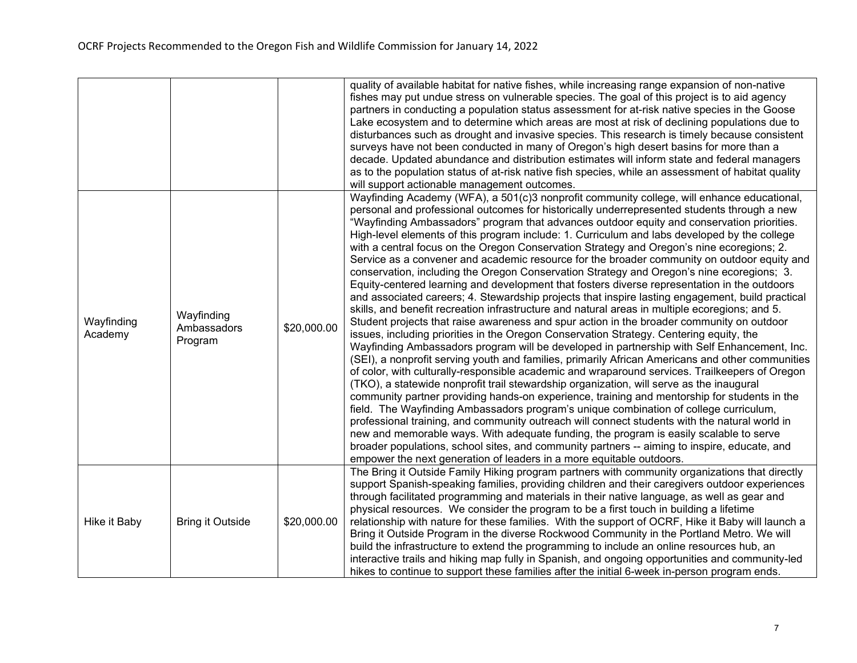|                       |                                      |             | quality of available habitat for native fishes, while increasing range expansion of non-native<br>fishes may put undue stress on vulnerable species. The goal of this project is to aid agency<br>partners in conducting a population status assessment for at-risk native species in the Goose<br>Lake ecosystem and to determine which areas are most at risk of declining populations due to<br>disturbances such as drought and invasive species. This research is timely because consistent<br>surveys have not been conducted in many of Oregon's high desert basins for more than a<br>decade. Updated abundance and distribution estimates will inform state and federal managers<br>as to the population status of at-risk native fish species, while an assessment of habitat quality<br>will support actionable management outcomes.                                                                                                                                                                                                                                                                                                                                                                                                                                                                                                                                                                                                                                                                                                                                                                                                                                                                                                                                                                                                                                                                                                                                                                                                                                                                                             |
|-----------------------|--------------------------------------|-------------|---------------------------------------------------------------------------------------------------------------------------------------------------------------------------------------------------------------------------------------------------------------------------------------------------------------------------------------------------------------------------------------------------------------------------------------------------------------------------------------------------------------------------------------------------------------------------------------------------------------------------------------------------------------------------------------------------------------------------------------------------------------------------------------------------------------------------------------------------------------------------------------------------------------------------------------------------------------------------------------------------------------------------------------------------------------------------------------------------------------------------------------------------------------------------------------------------------------------------------------------------------------------------------------------------------------------------------------------------------------------------------------------------------------------------------------------------------------------------------------------------------------------------------------------------------------------------------------------------------------------------------------------------------------------------------------------------------------------------------------------------------------------------------------------------------------------------------------------------------------------------------------------------------------------------------------------------------------------------------------------------------------------------------------------------------------------------------------------------------------------------------------------|
| Wayfinding<br>Academy | Wayfinding<br>Ambassadors<br>Program | \$20,000.00 | Wayfinding Academy (WFA), a 501(c)3 nonprofit community college, will enhance educational,<br>personal and professional outcomes for historically underrepresented students through a new<br>"Wayfinding Ambassadors" program that advances outdoor equity and conservation priorities.<br>High-level elements of this program include: 1. Curriculum and labs developed by the college<br>with a central focus on the Oregon Conservation Strategy and Oregon's nine ecoregions; 2.<br>Service as a convener and academic resource for the broader community on outdoor equity and<br>conservation, including the Oregon Conservation Strategy and Oregon's nine ecoregions; 3.<br>Equity-centered learning and development that fosters diverse representation in the outdoors<br>and associated careers; 4. Stewardship projects that inspire lasting engagement, build practical<br>skills, and benefit recreation infrastructure and natural areas in multiple ecoregions; and 5.<br>Student projects that raise awareness and spur action in the broader community on outdoor<br>issues, including priorities in the Oregon Conservation Strategy. Centering equity, the<br>Wayfinding Ambassadors program will be developed in partnership with Self Enhancement, Inc.<br>(SEI), a nonprofit serving youth and families, primarily African Americans and other communities<br>of color, with culturally-responsible academic and wraparound services. Trailkeepers of Oregon<br>(TKO), a statewide nonprofit trail stewardship organization, will serve as the inaugural<br>community partner providing hands-on experience, training and mentorship for students in the<br>field. The Wayfinding Ambassadors program's unique combination of college curriculum,<br>professional training, and community outreach will connect students with the natural world in<br>new and memorable ways. With adequate funding, the program is easily scalable to serve<br>broader populations, school sites, and community partners -- aiming to inspire, educate, and<br>empower the next generation of leaders in a more equitable outdoors. |
| Hike it Baby          | <b>Bring it Outside</b>              | \$20,000.00 | The Bring it Outside Family Hiking program partners with community organizations that directly<br>support Spanish-speaking families, providing children and their caregivers outdoor experiences<br>through facilitated programming and materials in their native language, as well as gear and<br>physical resources. We consider the program to be a first touch in building a lifetime<br>relationship with nature for these families. With the support of OCRF, Hike it Baby will launch a<br>Bring it Outside Program in the diverse Rockwood Community in the Portland Metro. We will<br>build the infrastructure to extend the programming to include an online resources hub, an<br>interactive trails and hiking map fully in Spanish, and ongoing opportunities and community-led<br>hikes to continue to support these families after the initial 6-week in-person program ends.                                                                                                                                                                                                                                                                                                                                                                                                                                                                                                                                                                                                                                                                                                                                                                                                                                                                                                                                                                                                                                                                                                                                                                                                                                                 |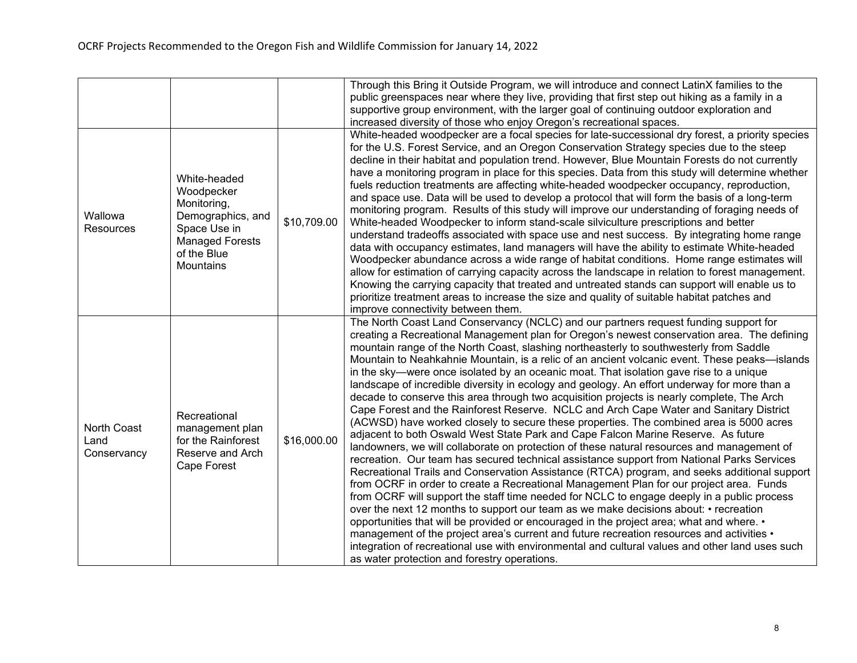|                                    |                                                                                                                                      |             | Through this Bring it Outside Program, we will introduce and connect LatinX families to the<br>public greenspaces near where they live, providing that first step out hiking as a family in a<br>supportive group environment, with the larger goal of continuing outdoor exploration and<br>increased diversity of those who enjoy Oregon's recreational spaces.                                                                                                                                                                                                                                                                                                                                                                                                                                                                                                                                                                                                                                                                                                                                                                                                                                                                                                                                                                                                                                                                                                                                                                                                                                                                                                                                                                                                                                                                                                         |
|------------------------------------|--------------------------------------------------------------------------------------------------------------------------------------|-------------|---------------------------------------------------------------------------------------------------------------------------------------------------------------------------------------------------------------------------------------------------------------------------------------------------------------------------------------------------------------------------------------------------------------------------------------------------------------------------------------------------------------------------------------------------------------------------------------------------------------------------------------------------------------------------------------------------------------------------------------------------------------------------------------------------------------------------------------------------------------------------------------------------------------------------------------------------------------------------------------------------------------------------------------------------------------------------------------------------------------------------------------------------------------------------------------------------------------------------------------------------------------------------------------------------------------------------------------------------------------------------------------------------------------------------------------------------------------------------------------------------------------------------------------------------------------------------------------------------------------------------------------------------------------------------------------------------------------------------------------------------------------------------------------------------------------------------------------------------------------------------|
| Wallowa<br><b>Resources</b>        | White-headed<br>Woodpecker<br>Monitoring,<br>Demographics, and<br>Space Use in<br><b>Managed Forests</b><br>of the Blue<br>Mountains | \$10,709.00 | White-headed woodpecker are a focal species for late-successional dry forest, a priority species<br>for the U.S. Forest Service, and an Oregon Conservation Strategy species due to the steep<br>decline in their habitat and population trend. However, Blue Mountain Forests do not currently<br>have a monitoring program in place for this species. Data from this study will determine whether<br>fuels reduction treatments are affecting white-headed woodpecker occupancy, reproduction,<br>and space use. Data will be used to develop a protocol that will form the basis of a long-term<br>monitoring program. Results of this study will improve our understanding of foraging needs of<br>White-headed Woodpecker to inform stand-scale silviculture prescriptions and better<br>understand tradeoffs associated with space use and nest success. By integrating home range<br>data with occupancy estimates, land managers will have the ability to estimate White-headed<br>Woodpecker abundance across a wide range of habitat conditions. Home range estimates will<br>allow for estimation of carrying capacity across the landscape in relation to forest management.<br>Knowing the carrying capacity that treated and untreated stands can support will enable us to<br>prioritize treatment areas to increase the size and quality of suitable habitat patches and<br>improve connectivity between them.                                                                                                                                                                                                                                                                                                                                                                                                                                            |
| North Coast<br>Land<br>Conservancy | Recreational<br>management plan<br>for the Rainforest<br>Reserve and Arch<br>Cape Forest                                             | \$16,000.00 | The North Coast Land Conservancy (NCLC) and our partners request funding support for<br>creating a Recreational Management plan for Oregon's newest conservation area. The defining<br>mountain range of the North Coast, slashing northeasterly to southwesterly from Saddle<br>Mountain to Neahkahnie Mountain, is a relic of an ancient volcanic event. These peaks—islands<br>in the sky—were once isolated by an oceanic moat. That isolation gave rise to a unique<br>landscape of incredible diversity in ecology and geology. An effort underway for more than a<br>decade to conserve this area through two acquisition projects is nearly complete, The Arch<br>Cape Forest and the Rainforest Reserve. NCLC and Arch Cape Water and Sanitary District<br>(ACWSD) have worked closely to secure these properties. The combined area is 5000 acres<br>adjacent to both Oswald West State Park and Cape Falcon Marine Reserve. As future<br>landowners, we will collaborate on protection of these natural resources and management of<br>recreation. Our team has secured technical assistance support from National Parks Services<br>Recreational Trails and Conservation Assistance (RTCA) program, and seeks additional support<br>from OCRF in order to create a Recreational Management Plan for our project area. Funds<br>from OCRF will support the staff time needed for NCLC to engage deeply in a public process<br>over the next 12 months to support our team as we make decisions about: • recreation<br>opportunities that will be provided or encouraged in the project area; what and where. •<br>management of the project area's current and future recreation resources and activities •<br>integration of recreational use with environmental and cultural values and other land uses such<br>as water protection and forestry operations. |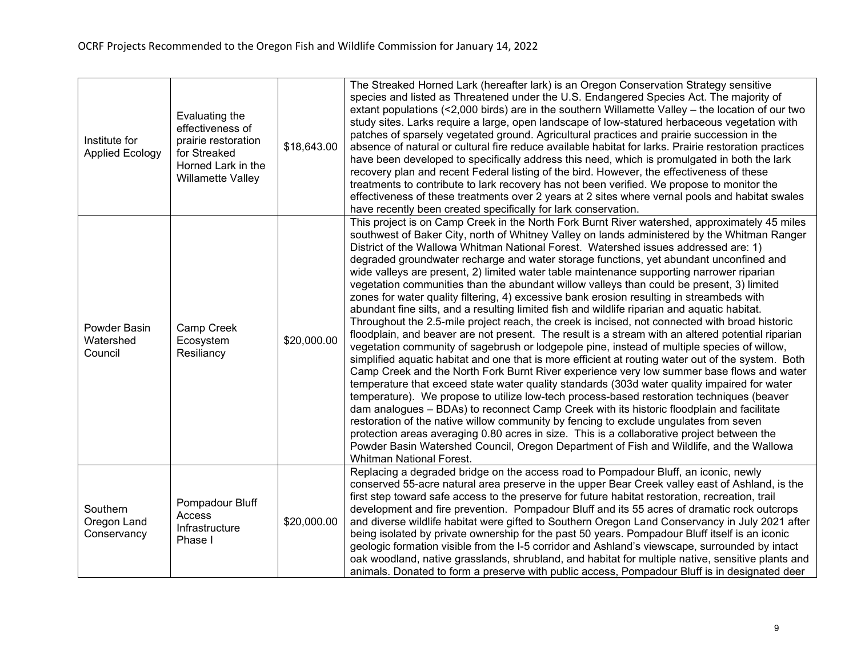| Institute for<br><b>Applied Ecology</b> | Evaluating the<br>effectiveness of<br>prairie restoration<br>for Streaked<br>Horned Lark in the<br>Willamette Valley | \$18,643.00 | The Streaked Horned Lark (hereafter lark) is an Oregon Conservation Strategy sensitive<br>species and listed as Threatened under the U.S. Endangered Species Act. The majority of<br>extant populations (<2,000 birds) are in the southern Willamette Valley – the location of our two<br>study sites. Larks require a large, open landscape of low-statured herbaceous vegetation with<br>patches of sparsely vegetated ground. Agricultural practices and prairie succession in the<br>absence of natural or cultural fire reduce available habitat for larks. Prairie restoration practices<br>have been developed to specifically address this need, which is promulgated in both the lark<br>recovery plan and recent Federal listing of the bird. However, the effectiveness of these<br>treatments to contribute to lark recovery has not been verified. We propose to monitor the<br>effectiveness of these treatments over 2 years at 2 sites where vernal pools and habitat swales<br>have recently been created specifically for lark conservation.                                                                                                                                                                                                                                                                                                                                                                                                                                                                                                                                                                                                                                                                                                                                                                                                                                |
|-----------------------------------------|----------------------------------------------------------------------------------------------------------------------|-------------|-----------------------------------------------------------------------------------------------------------------------------------------------------------------------------------------------------------------------------------------------------------------------------------------------------------------------------------------------------------------------------------------------------------------------------------------------------------------------------------------------------------------------------------------------------------------------------------------------------------------------------------------------------------------------------------------------------------------------------------------------------------------------------------------------------------------------------------------------------------------------------------------------------------------------------------------------------------------------------------------------------------------------------------------------------------------------------------------------------------------------------------------------------------------------------------------------------------------------------------------------------------------------------------------------------------------------------------------------------------------------------------------------------------------------------------------------------------------------------------------------------------------------------------------------------------------------------------------------------------------------------------------------------------------------------------------------------------------------------------------------------------------------------------------------------------------------------------------------------------------------------------------------|
| Powder Basin<br>Watershed<br>Council    | Camp Creek<br>Ecosystem<br>Resiliancy                                                                                | \$20,000.00 | This project is on Camp Creek in the North Fork Burnt River watershed, approximately 45 miles<br>southwest of Baker City, north of Whitney Valley on lands administered by the Whitman Ranger<br>District of the Wallowa Whitman National Forest. Watershed issues addressed are: 1)<br>degraded groundwater recharge and water storage functions, yet abundant unconfined and<br>wide valleys are present, 2) limited water table maintenance supporting narrower riparian<br>vegetation communities than the abundant willow valleys than could be present, 3) limited<br>zones for water quality filtering, 4) excessive bank erosion resulting in streambeds with<br>abundant fine silts, and a resulting limited fish and wildlife riparian and aquatic habitat.<br>Throughout the 2.5-mile project reach, the creek is incised, not connected with broad historic<br>floodplain, and beaver are not present. The result is a stream with an altered potential riparian<br>vegetation community of sagebrush or lodgepole pine, instead of multiple species of willow,<br>simplified aquatic habitat and one that is more efficient at routing water out of the system. Both<br>Camp Creek and the North Fork Burnt River experience very low summer base flows and water<br>temperature that exceed state water quality standards (303d water quality impaired for water<br>temperature). We propose to utilize low-tech process-based restoration techniques (beaver<br>dam analogues - BDAs) to reconnect Camp Creek with its historic floodplain and facilitate<br>restoration of the native willow community by fencing to exclude ungulates from seven<br>protection areas averaging 0.80 acres in size. This is a collaborative project between the<br>Powder Basin Watershed Council, Oregon Department of Fish and Wildlife, and the Wallowa<br><b>Whitman National Forest.</b> |
| Southern<br>Oregon Land<br>Conservancy  | Pompadour Bluff<br>Access<br>Infrastructure<br>Phase I                                                               | \$20,000.00 | Replacing a degraded bridge on the access road to Pompadour Bluff, an iconic, newly<br>conserved 55-acre natural area preserve in the upper Bear Creek valley east of Ashland, is the<br>first step toward safe access to the preserve for future habitat restoration, recreation, trail<br>development and fire prevention. Pompadour Bluff and its 55 acres of dramatic rock outcrops<br>and diverse wildlife habitat were gifted to Southern Oregon Land Conservancy in July 2021 after<br>being isolated by private ownership for the past 50 years. Pompadour Bluff itself is an iconic<br>geologic formation visible from the I-5 corridor and Ashland's viewscape, surrounded by intact<br>oak woodland, native grasslands, shrubland, and habitat for multiple native, sensitive plants and<br>animals. Donated to form a preserve with public access, Pompadour Bluff is in designated deer                                                                                                                                                                                                                                                                                                                                                                                                                                                                                                                                                                                                                                                                                                                                                                                                                                                                                                                                                                                          |